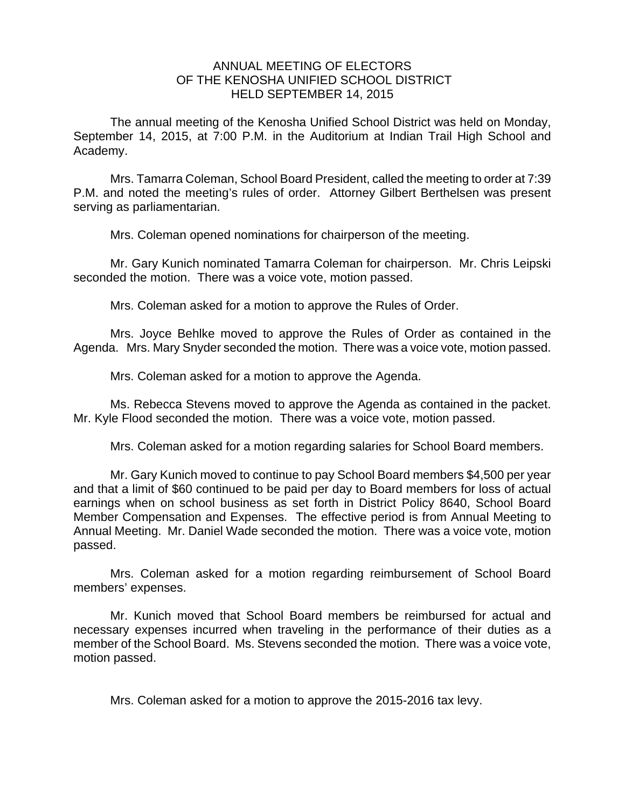## ANNUAL MEETING OF ELECTORS OF THE KENOSHA UNIFIED SCHOOL DISTRICT HELD SEPTEMBER 14, 2015

The annual meeting of the Kenosha Unified School District was held on Monday, September 14, 2015, at 7:00 P.M. in the Auditorium at Indian Trail High School and Academy.

Mrs. Tamarra Coleman, School Board President, called the meeting to order at 7:39 P.M. and noted the meeting's rules of order. Attorney Gilbert Berthelsen was present serving as parliamentarian.

Mrs. Coleman opened nominations for chairperson of the meeting.

Mr. Gary Kunich nominated Tamarra Coleman for chairperson. Mr. Chris Leipski seconded the motion. There was a voice vote, motion passed.

Mrs. Coleman asked for a motion to approve the Rules of Order.

Mrs. Joyce Behlke moved to approve the Rules of Order as contained in the Agenda. Mrs. Mary Snyder seconded the motion. There was a voice vote, motion passed.

Mrs. Coleman asked for a motion to approve the Agenda.

 Ms. Rebecca Stevens moved to approve the Agenda as contained in the packet. Mr. Kyle Flood seconded the motion. There was a voice vote, motion passed.

Mrs. Coleman asked for a motion regarding salaries for School Board members.

Mr. Gary Kunich moved to continue to pay School Board members \$4,500 per year and that a limit of \$60 continued to be paid per day to Board members for loss of actual earnings when on school business as set forth in District Policy 8640, School Board Member Compensation and Expenses. The effective period is from Annual Meeting to Annual Meeting. Mr. Daniel Wade seconded the motion. There was a voice vote, motion passed.

 Mrs. Coleman asked for a motion regarding reimbursement of School Board members' expenses.

Mr. Kunich moved that School Board members be reimbursed for actual and necessary expenses incurred when traveling in the performance of their duties as a member of the School Board. Ms. Stevens seconded the motion. There was a voice vote, motion passed.

Mrs. Coleman asked for a motion to approve the 2015-2016 tax levy.